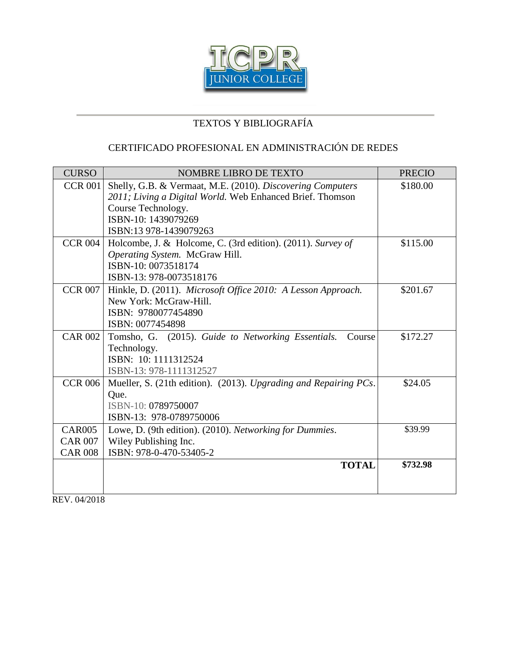

## CERTIFICADO PROFESIONAL EN ADMINISTRACIÓN DE REDES

| <b>CURSO</b>   | <b>NOMBRE LIBRO DE TEXTO</b>                                     | <b>PRECIO</b> |
|----------------|------------------------------------------------------------------|---------------|
| <b>CCR 001</b> | Shelly, G.B. & Vermaat, M.E. (2010). Discovering Computers       | \$180.00      |
|                | 2011; Living a Digital World. Web Enhanced Brief. Thomson        |               |
|                | Course Technology.                                               |               |
|                | ISBN-10: 1439079269                                              |               |
|                | ISBN:13 978-1439079263                                           |               |
| <b>CCR 004</b> | Holcombe, J. & Holcome, C. (3rd edition). (2011). Survey of      | \$115.00      |
|                | Operating System. McGraw Hill.                                   |               |
|                | ISBN-10: 0073518174                                              |               |
|                | ISBN-13: 978-0073518176                                          |               |
| <b>CCR 007</b> | Hinkle, D. (2011). Microsoft Office 2010: A Lesson Approach.     | \$201.67      |
|                | New York: McGraw-Hill.                                           |               |
|                | ISBN: 9780077454890                                              |               |
|                | ISBN: 0077454898                                                 |               |
| <b>CAR 002</b> | Tomsho, G. (2015). Guide to Networking Essentials.<br>Course     | \$172.27      |
|                | Technology.                                                      |               |
|                | ISBN: 10: 1111312524                                             |               |
|                | ISBN-13: 978-1111312527                                          |               |
| <b>CCR 006</b> | Mueller, S. (21th edition). (2013). Upgrading and Repairing PCs. | \$24.05       |
|                | Que.                                                             |               |
|                | ISBN-10: 0789750007                                              |               |
|                | ISBN-13: 978-0789750006                                          |               |
| <b>CAR005</b>  | Lowe, D. (9th edition). (2010). Networking for Dummies.          | \$39.99       |
| <b>CAR 007</b> | Wiley Publishing Inc.                                            |               |
| <b>CAR 008</b> | ISBN: 978-0-470-53405-2                                          |               |
|                | <b>TOTAL</b>                                                     | \$732.98      |
|                |                                                                  |               |
|                |                                                                  |               |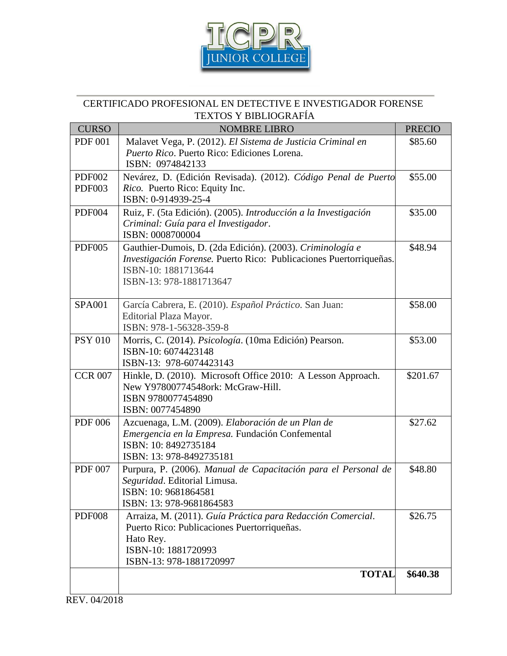

#### CERTIFICADO PROFESIONAL EN DETECTIVE E INVESTIGADOR FORENSE TEXTOS Y BIBLIOGRAFÍA

| <b>CURSO</b>   | <b>NOMBRE LIBRO</b>                                                                                        | <b>PRECIO</b> |
|----------------|------------------------------------------------------------------------------------------------------------|---------------|
| <b>PDF 001</b> | Malavet Vega, P. (2012). El Sistema de Justicia Criminal en                                                | \$85.60       |
|                | Puerto Rico. Puerto Rico: Ediciones Lorena.<br>ISBN: 0974842133                                            |               |
| <b>PDF002</b>  | Nevárez, D. (Edición Revisada). (2012). Código Penal de Puerto                                             | \$55.00       |
| PDF003         | Rico. Puerto Rico: Equity Inc.<br>ISBN: 0-914939-25-4                                                      |               |
| <b>PDF004</b>  | Ruiz, F. (5ta Edición). (2005). Introducción a la Investigación                                            | \$35.00       |
|                | Criminal: Guía para el Investigador.<br>ISBN: 0008700004                                                   |               |
| <b>PDF005</b>  | Gauthier-Dumois, D. (2da Edición). (2003). Criminología e                                                  | \$48.94       |
|                | Investigación Forense. Puerto Rico: Publicaciones Puertorriqueñas.<br>ISBN-10: 1881713644                  |               |
|                | ISBN-13: 978-1881713647                                                                                    |               |
| <b>SPA001</b>  | García Cabrera, E. (2010). Español Práctico. San Juan:                                                     | \$58.00       |
|                | Editorial Plaza Mayor.<br>ISBN: 978-1-56328-359-8                                                          |               |
| <b>PSY 010</b> | Morris, C. (2014). Psicología. (10ma Edición) Pearson.                                                     | \$53.00       |
|                | ISBN-10: 6074423148<br>ISBN-13: 978-6074423143                                                             |               |
| <b>CCR 007</b> | Hinkle, D. (2010). Microsoft Office 2010: A Lesson Approach.                                               | \$201.67      |
|                | New Y97800774548ork: McGraw-Hill.<br>ISBN 9780077454890                                                    |               |
|                | ISBN: 0077454890                                                                                           |               |
| <b>PDF 006</b> | Azcuenaga, L.M. (2009). Elaboración de un Plan de                                                          | \$27.62       |
|                | Emergencia en la Empresa. Fundación Confemental<br>ISBN: 10: 8492735184                                    |               |
|                | ISBN: 13: 978-8492735181                                                                                   |               |
| <b>PDF 007</b> | Purpura, P. (2006). Manual de Capacitación para el Personal de<br>Seguridad. Editorial Limusa.             | \$48.80       |
|                | ISBN: 10: 9681864581                                                                                       |               |
|                | ISBN: 13: 978-9681864583                                                                                   |               |
| <b>PDF008</b>  | Arraiza, M. (2011). Guía Práctica para Redacción Comercial.<br>Puerto Rico: Publicaciones Puertorriqueñas. | \$26.75       |
|                | Hato Rey.                                                                                                  |               |
|                | ISBN-10: 1881720993<br>ISBN-13: 978-1881720997                                                             |               |
|                | <b>TOTAL</b>                                                                                               | \$640.38      |
|                |                                                                                                            |               |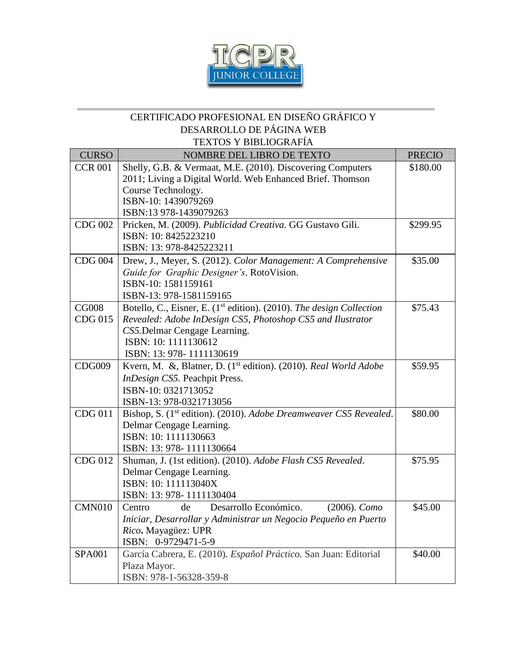

#### CERTIFICADO PROFESIONAL EN DISEÑO GRÁFICO Y DESARROLLO DE PÁGINA WEB TEXTOS Y BIBLIOGRAFÍA

| <b>CURSO</b>   | NOMBRE DEL LIBRO DE TEXTO                                                                                  | <b>PRECIO</b> |
|----------------|------------------------------------------------------------------------------------------------------------|---------------|
| <b>CCR 001</b> | Shelly, G.B. & Vermaat, M.E. (2010). Discovering Computers                                                 | \$180.00      |
|                | 2011; Living a Digital World. Web Enhanced Brief. Thomson                                                  |               |
|                | Course Technology.                                                                                         |               |
|                | ISBN-10: 1439079269                                                                                        |               |
|                | ISBN:13 978-1439079263                                                                                     |               |
| <b>CDG 002</b> | Pricken, M. (2009). Publicidad Creativa. GG Gustavo Gili.<br>ISBN: 10: 8425223210                          | \$299.95      |
|                | ISBN: 13: 978-8425223211                                                                                   |               |
| <b>CDG 004</b> |                                                                                                            | \$35.00       |
|                | Drew, J., Meyer, S. (2012). Color Management: A Comprehensive<br>Guide for Graphic Designer's. RotoVision. |               |
|                | ISBN-10: 1581159161                                                                                        |               |
|                | ISBN-13: 978-1581159165                                                                                    |               |
| <b>CG008</b>   | Botello, C., Eisner, E. (1 <sup>st</sup> edition). (2010). The design Collection                           | \$75.43       |
| CDG 015        | Revealed: Adobe InDesign CS5, Photoshop CS5 and Ilustrator                                                 |               |
|                | CS5. Delmar Cengage Learning.                                                                              |               |
|                | ISBN: 10: 1111130612                                                                                       |               |
|                | ISBN: 13: 978-1111130619                                                                                   |               |
| <b>CDG009</b>  | Kvern, M. &, Blatner, D. (1 <sup>st</sup> edition). (2010). Real World Adobe                               | \$59.95       |
|                | InDesign CS5. Peachpit Press.                                                                              |               |
|                | ISBN-10: 0321713052                                                                                        |               |
|                | ISBN-13: 978-0321713056                                                                                    |               |
| CDG 011        | Bishop, S. (1 <sup>st</sup> edition). (2010). Adobe Dreamweaver CS5 Revealed.                              | \$80.00       |
|                | Delmar Cengage Learning.                                                                                   |               |
|                | ISBN: 10: 1111130663                                                                                       |               |
|                | ISBN: 13: 978-1111130664                                                                                   |               |
| CDG 012        | Shuman, J. (1st edition). (2010). Adobe Flash CS5 Revealed.                                                | \$75.95       |
|                | Delmar Cengage Learning.<br>ISBN: 10: 111113040X                                                           |               |
|                | ISBN: 13: 978-1111130404                                                                                   |               |
| <b>CMN010</b>  | Desarrollo Económico.<br>$(2006)$ . Como<br>de<br>Centro                                                   | \$45.00       |
|                | Iniciar, Desarrollar y Administrar un Negocio Pequeño en Puerto                                            |               |
|                | Rico. Mayagüez: UPR                                                                                        |               |
|                | ISBN: 0-9729471-5-9                                                                                        |               |
| <b>SPA001</b>  | García Cabrera, E. (2010). Español Práctico. San Juan: Editorial                                           | \$40.00       |
|                | Plaza Mayor.                                                                                               |               |
|                | ISBN: 978-1-56328-359-8                                                                                    |               |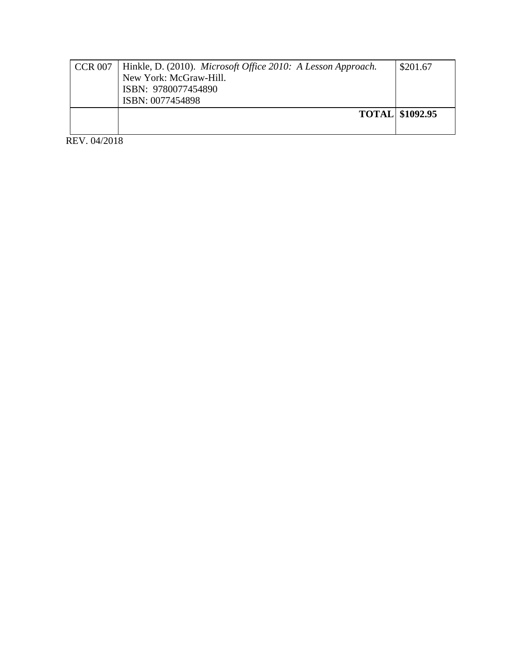| <b>CCR 007</b> | Hinkle, D. (2010). Microsoft Office 2010: A Lesson Approach. | \$201.67               |
|----------------|--------------------------------------------------------------|------------------------|
|                | New York: McGraw-Hill.                                       |                        |
|                | ISBN: 9780077454890                                          |                        |
|                | ISBN: 0077454898                                             |                        |
|                |                                                              | <b>TOTAL \$1092.95</b> |
|                |                                                              |                        |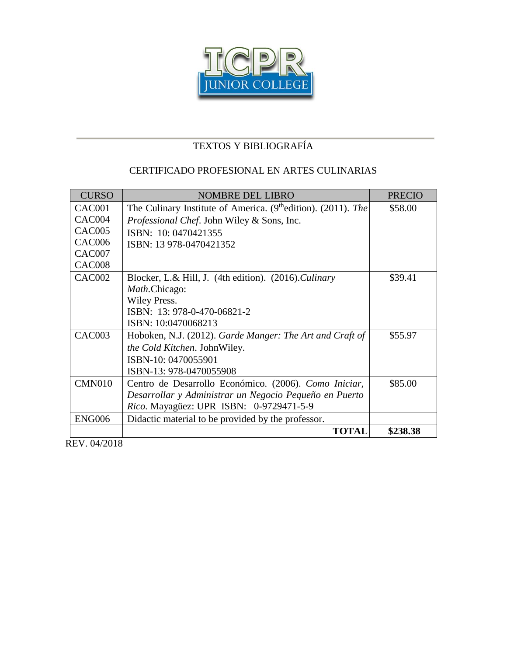

#### CERTIFICADO PROFESIONAL EN ARTES CULINARIAS

| <b>CURSO</b>  | <b>NOMBRE DEL LIBRO</b>                                                   | <b>PRECIO</b> |
|---------------|---------------------------------------------------------------------------|---------------|
| CAC001        | The Culinary Institute of America. (9 <sup>th</sup> edition). (2011). The | \$58.00       |
| CAC004        | Professional Chef. John Wiley & Sons, Inc.                                |               |
| CAC005        | ISBN: 10: 0470421355                                                      |               |
| CAC006        | ISBN: 13 978-0470421352                                                   |               |
| CAC007        |                                                                           |               |
| CAC008        |                                                                           |               |
| <b>CAC002</b> | Blocker, L.& Hill, J. (4th edition). (2016). Culinary                     | \$39.41       |
|               | <i>Math.Chicago:</i>                                                      |               |
|               | Wiley Press.                                                              |               |
|               | ISBN: 13: 978-0-470-06821-2                                               |               |
|               | ISBN: 10:0470068213                                                       |               |
| CAC003        | Hoboken, N.J. (2012). Garde Manger: The Art and Craft of                  | \$55.97       |
|               | <i>the Cold Kitchen.</i> John Wiley.                                      |               |
|               | ISBN-10: 0470055901                                                       |               |
|               | ISBN-13: 978-0470055908                                                   |               |
| <b>CMN010</b> | Centro de Desarrollo Económico. (2006). Como Iniciar,                     | \$85.00       |
|               | Desarrollar y Administrar un Negocio Pequeño en Puerto                    |               |
|               | <i>Rico.</i> Mayagüez: UPR ISBN: 0-9729471-5-9                            |               |
| <b>ENG006</b> | Didactic material to be provided by the professor.                        |               |
|               | <b>TOTAL</b>                                                              | \$238.38      |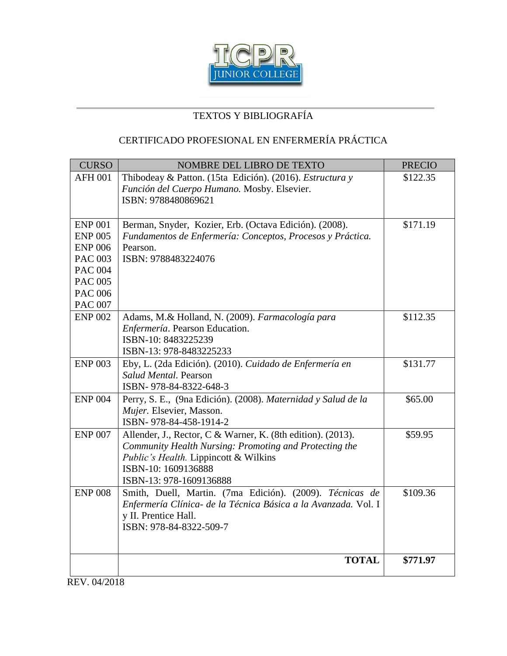

## CERTIFICADO PROFESIONAL EN ENFERMERÍA PRÁCTICA

| <b>CURSO</b>   | NOMBRE DEL LIBRO DE TEXTO                                                                                                  | <b>PRECIO</b> |
|----------------|----------------------------------------------------------------------------------------------------------------------------|---------------|
| <b>AFH 001</b> | Thibodeay & Patton. (15ta Edición). (2016). Estructura y                                                                   | \$122.35      |
|                | Función del Cuerpo Humano. Mosby. Elsevier.                                                                                |               |
|                | ISBN: 9788480869621                                                                                                        |               |
|                |                                                                                                                            |               |
| <b>ENP 001</b> | Berman, Snyder, Kozier, Erb. (Octava Edición). (2008).                                                                     | \$171.19      |
| <b>ENP 005</b> | Fundamentos de Enfermería: Conceptos, Procesos y Práctica.                                                                 |               |
| <b>ENP 006</b> | Pearson.                                                                                                                   |               |
| <b>PAC 003</b> | ISBN: 9788483224076                                                                                                        |               |
| <b>PAC 004</b> |                                                                                                                            |               |
| <b>PAC 005</b> |                                                                                                                            |               |
| <b>PAC 006</b> |                                                                                                                            |               |
| <b>PAC 007</b> |                                                                                                                            |               |
| <b>ENP 002</b> | Adams, M.& Holland, N. (2009). Farmacología para                                                                           | \$112.35      |
|                | Enfermería. Pearson Education.<br>ISBN-10: 8483225239                                                                      |               |
|                | ISBN-13: 978-8483225233                                                                                                    |               |
| <b>ENP 003</b> |                                                                                                                            |               |
|                | Eby, L. (2da Edición). (2010). Cuidado de Enfermería en<br>Salud Mental. Pearson                                           | \$131.77      |
|                |                                                                                                                            |               |
|                | ISBN-978-84-8322-648-3                                                                                                     |               |
| <b>ENP 004</b> | Perry, S. E., (9na Edición). (2008). Maternidad y Salud de la                                                              | \$65.00       |
|                | Mujer. Elsevier, Masson.<br>ISBN-978-84-458-1914-2                                                                         |               |
|                |                                                                                                                            |               |
| <b>ENP 007</b> | Allender, J., Rector, C & Warner, K. (8th edition). (2013).                                                                | \$59.95       |
|                | Community Health Nursing: Promoting and Protecting the                                                                     |               |
|                | <i>Public's Health.</i> Lippincott & Wilkins<br>ISBN-10: 1609136888                                                        |               |
|                | ISBN-13: 978-1609136888                                                                                                    |               |
| <b>ENP 008</b> |                                                                                                                            |               |
|                | Smith, Duell, Martin. (7ma Edición). (2009). Técnicas de<br>Enfermería Clínica- de la Técnica Básica a la Avanzada. Vol. I | \$109.36      |
|                | y II. Prentice Hall.                                                                                                       |               |
|                | ISBN: 978-84-8322-509-7                                                                                                    |               |
|                |                                                                                                                            |               |
|                |                                                                                                                            |               |
|                | <b>TOTAL</b>                                                                                                               | \$771.97      |
|                |                                                                                                                            |               |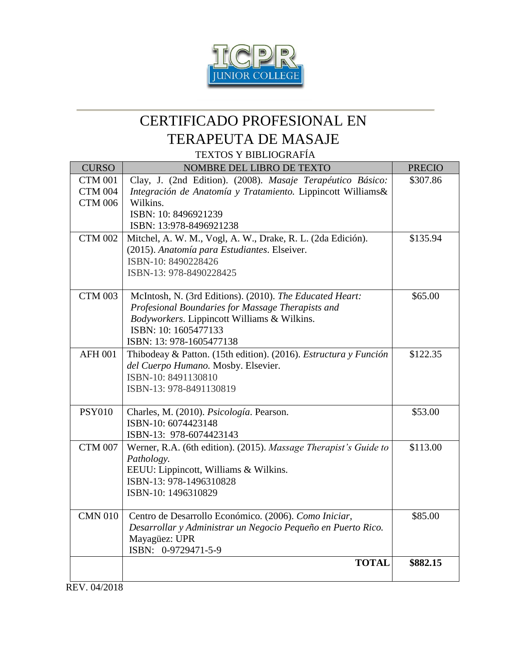

# CERTIFICADO PROFESIONAL EN TERAPEUTA DE MASAJE

TEXTOS Y BIBLIOGRAFÍA

| <b>CURSO</b>   | NOMBRE DEL LIBRO DE TEXTO                                                                                   | <b>PRECIO</b> |
|----------------|-------------------------------------------------------------------------------------------------------------|---------------|
| <b>CTM 001</b> | Clay, J. (2nd Edition). (2008). Masaje Terapéutico Básico:                                                  | \$307.86      |
| <b>CTM 004</b> | Integración de Anatomía y Tratamiento. Lippincott Williams&                                                 |               |
| <b>CTM 006</b> | Wilkins.                                                                                                    |               |
|                | ISBN: 10: 8496921239                                                                                        |               |
|                | ISBN: 13:978-8496921238                                                                                     |               |
| <b>CTM 002</b> | Mitchel, A. W. M., Vogl, A. W., Drake, R. L. (2da Edición).<br>(2015). Anatomía para Estudiantes. Elseiver. | \$135.94      |
|                | ISBN-10: 8490228426                                                                                         |               |
|                | ISBN-13: 978-8490228425                                                                                     |               |
|                |                                                                                                             |               |
| <b>CTM 003</b> | McIntosh, N. (3rd Editions). (2010). The Educated Heart:                                                    | \$65.00       |
|                | Profesional Boundaries for Massage Therapists and                                                           |               |
|                | Bodyworkers. Lippincott Williams & Wilkins.                                                                 |               |
|                | ISBN: 10: 1605477133                                                                                        |               |
|                | ISBN: 13: 978-1605477138                                                                                    |               |
| <b>AFH 001</b> | Thibodeay & Patton. (15th edition). (2016). Estructura y Función                                            | \$122.35      |
|                | del Cuerpo Humano. Mosby. Elsevier.<br>ISBN-10: 8491130810                                                  |               |
|                | ISBN-13: 978-8491130819                                                                                     |               |
|                |                                                                                                             |               |
| <b>PSY010</b>  | Charles, M. (2010). Psicología. Pearson.                                                                    | \$53.00       |
|                | ISBN-10: 6074423148                                                                                         |               |
|                | ISBN-13: 978-6074423143                                                                                     |               |
| <b>CTM 007</b> | Werner, R.A. (6th edition). (2015). Massage Therapist's Guide to                                            | \$113.00      |
|                | Pathology.                                                                                                  |               |
|                | EEUU: Lippincott, Williams & Wilkins.                                                                       |               |
|                | ISBN-13: 978-1496310828                                                                                     |               |
|                | ISBN-10: 1496310829                                                                                         |               |
| <b>CMN 010</b> | Centro de Desarrollo Económico. (2006). Como Iniciar,                                                       | \$85.00       |
|                | Desarrollar y Administrar un Negocio Pequeño en Puerto Rico.                                                |               |
|                | Mayagüez: UPR                                                                                               |               |
|                | ISBN: 0-9729471-5-9                                                                                         |               |
|                | <b>TOTAL</b>                                                                                                | \$882.15      |
|                |                                                                                                             |               |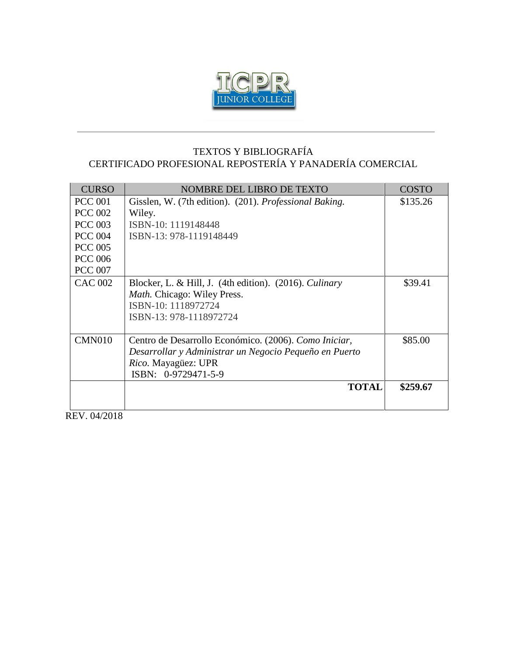

#### TEXTOS Y BIBLIOGRAFÍA CERTIFICADO PROFESIONAL REPOSTERÍA Y PANADERÍA COMERCIAL

| <b>CURSO</b>   | NOMBRE DEL LIBRO DE TEXTO                                                                                                                                     | <b>COSTO</b> |
|----------------|---------------------------------------------------------------------------------------------------------------------------------------------------------------|--------------|
| <b>PCC 001</b> | Gisslen, W. (7th edition). (201). Professional Baking.                                                                                                        | \$135.26     |
| <b>PCC 002</b> | Wiley.                                                                                                                                                        |              |
| <b>PCC 003</b> | ISBN-10: 1119148448                                                                                                                                           |              |
| <b>PCC 004</b> | ISBN-13: 978-1119148449                                                                                                                                       |              |
| <b>PCC 005</b> |                                                                                                                                                               |              |
| <b>PCC 006</b> |                                                                                                                                                               |              |
| <b>PCC 007</b> |                                                                                                                                                               |              |
| CAC 002        | Blocker, L. & Hill, J. $(4th edition)$ . $(2016)$ . <i>Culinary</i><br>Math. Chicago: Wiley Press.<br>ISBN-10: 1118972724<br>ISBN-13: 978-1118972724          | \$39.41      |
| CMN010         | Centro de Desarrollo Económico. (2006). Como Iniciar,<br>Desarrollar y Administrar un Negocio Pequeño en Puerto<br>Rico. Mayagüez: UPR<br>ISBN: 0-9729471-5-9 | \$85.00      |
|                | <b>TOTAL</b>                                                                                                                                                  | \$259.67     |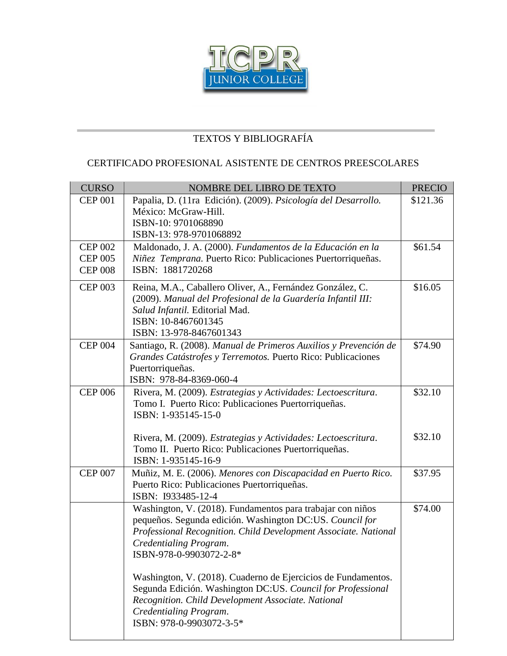

#### CERTIFICADO PROFESIONAL ASISTENTE DE CENTROS PREESCOLARES

| <b>CURSO</b>                                       | NOMBRE DEL LIBRO DE TEXTO                                                                                                                                                                                                                      | <b>PRECIO</b> |
|----------------------------------------------------|------------------------------------------------------------------------------------------------------------------------------------------------------------------------------------------------------------------------------------------------|---------------|
| <b>CEP 001</b>                                     | Papalia, D. (11ra Edición). (2009). Psicología del Desarrollo.<br>México: McGraw-Hill.                                                                                                                                                         | \$121.36      |
|                                                    | ISBN-10: 9701068890<br>ISBN-13: 978-9701068892                                                                                                                                                                                                 |               |
| <b>CEP 002</b><br><b>CEP 005</b><br><b>CEP 008</b> | Maldonado, J. A. (2000). Fundamentos de la Educación en la<br>Niñez Temprana. Puerto Rico: Publicaciones Puertorriqueñas.<br>ISBN: 1881720268                                                                                                  | \$61.54       |
| <b>CEP 003</b>                                     | Reina, M.A., Caballero Oliver, A., Fernández González, C.<br>(2009). Manual del Profesional de la Guardería Infantil III:<br>Salud Infantil. Editorial Mad.<br>ISBN: 10-8467601345<br>ISBN: 13-978-8467601343                                  | \$16.05       |
| <b>CEP 004</b>                                     | Santiago, R. (2008). Manual de Primeros Auxilios y Prevención de<br>Grandes Catástrofes y Terremotos. Puerto Rico: Publicaciones<br>Puertorriqueñas.<br>ISBN: 978-84-8369-060-4                                                                | \$74.90       |
| <b>CEP 006</b>                                     | Rivera, M. (2009). Estrategias y Actividades: Lectoescritura.<br>Tomo I. Puerto Rico: Publicaciones Puertorriqueñas.<br>ISBN: 1-935145-15-0                                                                                                    | \$32.10       |
|                                                    | Rivera, M. (2009). Estrategias y Actividades: Lectoescritura.<br>Tomo II. Puerto Rico: Publicaciones Puertorriqueñas.<br>ISBN: 1-935145-16-9                                                                                                   | \$32.10       |
| <b>CEP 007</b>                                     | Muñiz, M. E. (2006). Menores con Discapacidad en Puerto Rico.<br>Puerto Rico: Publicaciones Puertorriqueñas.<br>ISBN: I933485-12-4                                                                                                             | \$37.95       |
|                                                    | Washington, V. (2018). Fundamentos para trabajar con niños<br>pequeños. Segunda edición. Washington DC:US. Council for<br>Professional Recognition. Child Development Associate. National<br>Credentialing Program.<br>ISBN-978-0-9903072-2-8* | \$74.00       |
|                                                    | Washington, V. (2018). Cuaderno de Ejercicios de Fundamentos.<br>Segunda Edición. Washington DC:US. Council for Professional<br>Recognition. Child Development Associate. National<br>Credentialing Program.<br>ISBN: 978-0-9903072-3-5*       |               |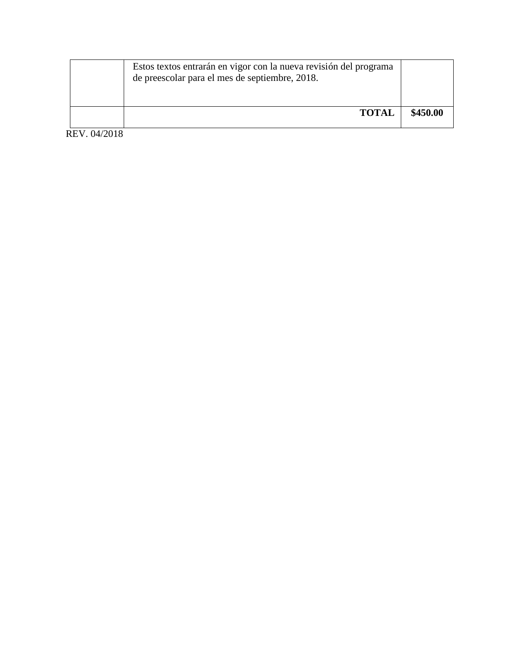| Estos textos entrarán en vigor con la nueva revisión del programa<br>de preescolar para el mes de septiembre, 2018. |          |
|---------------------------------------------------------------------------------------------------------------------|----------|
| <b>TOTAL</b>                                                                                                        | \$450.00 |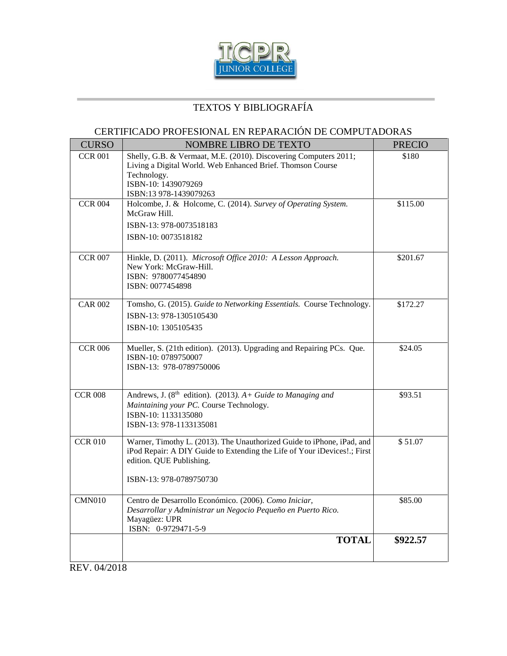

#### CERTIFICADO PROFESIONAL EN REPARACIÓN DE COMPUTADORAS

| <b>CURSO</b>   | NOMBRE LIBRO DE TEXTO                                                                                                                                                                                     | <b>PRECIO</b> |
|----------------|-----------------------------------------------------------------------------------------------------------------------------------------------------------------------------------------------------------|---------------|
| <b>CCR 001</b> | Shelly, G.B. & Vermaat, M.E. (2010). Discovering Computers 2011;<br>Living a Digital World. Web Enhanced Brief. Thomson Course<br>Technology.<br>ISBN-10: 1439079269<br>ISBN:13 978-1439079263            | \$180         |
| <b>CCR 004</b> | Holcombe, J. & Holcome, C. (2014). Survey of Operating System.<br>McGraw Hill.<br>ISBN-13: 978-0073518183<br>ISBN-10: 0073518182                                                                          | \$115.00      |
| <b>CCR 007</b> | Hinkle, D. (2011). Microsoft Office 2010: A Lesson Approach.<br>New York: McGraw-Hill.<br>ISBN: 9780077454890<br>ISBN: 0077454898                                                                         | \$201.67      |
| <b>CAR 002</b> | Tomsho, G. (2015). Guide to Networking Essentials. Course Technology.<br>ISBN-13: 978-1305105430<br>ISBN-10: 1305105435                                                                                   | \$172.27      |
| <b>CCR 006</b> | Mueller, S. (21th edition). (2013). Upgrading and Repairing PCs. Que.<br>ISBN-10: 0789750007<br>ISBN-13: 978-0789750006                                                                                   | \$24.05       |
| <b>CCR 008</b> | Andrews, J. ( $8th$ edition). (2013). A+ Guide to Managing and<br>Maintaining your PC. Course Technology.<br>ISBN-10: 1133135080<br>ISBN-13: 978-1133135081                                               | \$93.51       |
| <b>CCR 010</b> | Warner, Timothy L. (2013). The Unauthorized Guide to iPhone, iPad, and<br>iPod Repair: A DIY Guide to Extending the Life of Your iDevices!.; First<br>edition. QUE Publishing.<br>ISBN-13: 978-0789750730 | \$51.07       |
| <b>CMN010</b>  | Centro de Desarrollo Económico. (2006). Como Iniciar,<br>Desarrollar y Administrar un Negocio Pequeño en Puerto Rico.<br>Mayagüez: UPR<br>ISBN: 0-9729471-5-9                                             | \$85.00       |
|                | <b>TOTAL</b>                                                                                                                                                                                              | \$922.57      |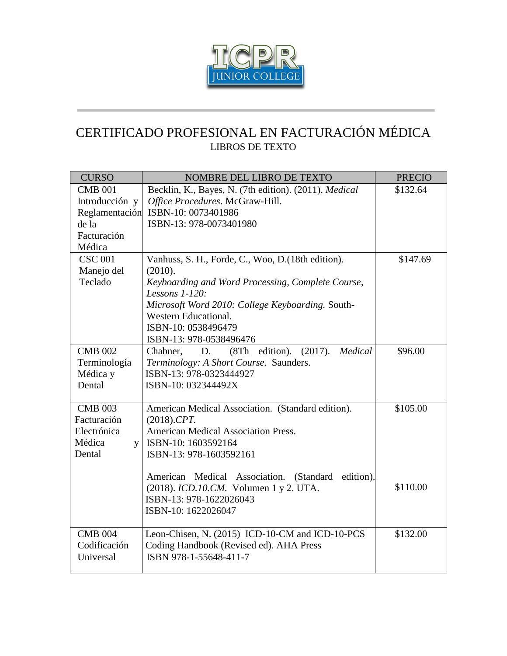

# CERTIFICADO PROFESIONAL EN FACTURACIÓN MÉDICA LIBROS DE TEXTO

| <b>CURSO</b>   | <b>NOMBRE DEL LIBRO DE TEXTO</b>                                  | <b>PRECIO</b> |
|----------------|-------------------------------------------------------------------|---------------|
| <b>CMB 001</b> | Becklin, K., Bayes, N. (7th edition). (2011). Medical             | \$132.64      |
| Introducción y | Office Procedures. McGraw-Hill.                                   |               |
|                | Reglamentación ISBN-10: 0073401986                                |               |
| de la          | ISBN-13: 978-0073401980                                           |               |
| Facturación    |                                                                   |               |
| Médica         |                                                                   |               |
| <b>CSC 001</b> | Vanhuss, S. H., Forde, C., Woo, D.(18th edition).                 | \$147.69      |
| Manejo del     | (2010).                                                           |               |
| Teclado        | Keyboarding and Word Processing, Complete Course,                 |               |
|                | Lessons $1-120$ :                                                 |               |
|                | Microsoft Word 2010: College Keyboarding. South-                  |               |
|                | Western Educational.                                              |               |
|                | ISBN-10: 0538496479                                               |               |
|                | ISBN-13: 978-0538496476                                           |               |
| <b>CMB 002</b> | (8Th edition).<br>(2017).<br>Medical<br>D.<br>Chabner,            | \$96.00       |
| Terminología   | Terminology: A Short Course. Saunders.                            |               |
| Médica y       | ISBN-13: 978-0323444927                                           |               |
| Dental         | ISBN-10: 032344492X                                               |               |
|                |                                                                   |               |
| <b>CMB 003</b> | American Medical Association. (Standard edition).                 | \$105.00      |
| Facturación    | $(2018)$ .CPT.                                                    |               |
| Electrónica    | <b>American Medical Association Press.</b>                        |               |
| Médica<br>V    | ISBN-10: 1603592164                                               |               |
| Dental         | ISBN-13: 978-1603592161                                           |               |
|                |                                                                   |               |
|                | American Medical Association. (Standard<br>edition).              | \$110.00      |
|                | (2018). ICD.10.CM. Volumen 1 y 2. UTA.<br>ISBN-13: 978-1622026043 |               |
|                |                                                                   |               |
|                | ISBN-10: 1622026047                                               |               |
| <b>CMB 004</b> | Leon-Chisen, N. (2015) ICD-10-CM and ICD-10-PCS                   | \$132.00      |
| Codificación   | Coding Handbook (Revised ed). AHA Press                           |               |
| Universal      | ISBN 978-1-55648-411-7                                            |               |
|                |                                                                   |               |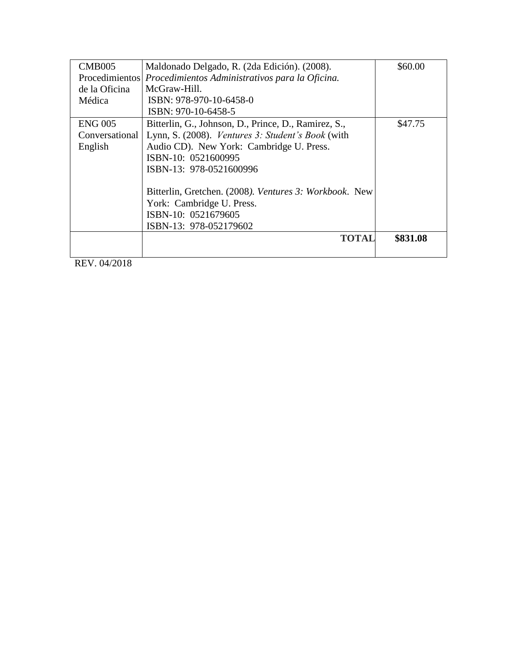| <b>CMB005</b>  | Maldonado Delgado, R. (2da Edición). (2008).           | \$60.00  |
|----------------|--------------------------------------------------------|----------|
| Procedimientos | Procedimientos Administrativos para la Oficina.        |          |
| de la Oficina  | McGraw-Hill.                                           |          |
| Médica         | ISBN: 978-970-10-6458-0                                |          |
|                | ISBN: 970-10-6458-5                                    |          |
| <b>ENG 005</b> | Bitterlin, G., Johnson, D., Prince, D., Ramirez, S.,   | \$47.75  |
| Conversational | Lynn, S. (2008). Ventures 3: Student's Book (with      |          |
| English        | Audio CD). New York: Cambridge U. Press.               |          |
|                | ISBN-10: 0521600995                                    |          |
|                | ISBN-13: 978-0521600996                                |          |
|                |                                                        |          |
|                | Bitterlin, Gretchen. (2008). Ventures 3: Workbook. New |          |
|                | York: Cambridge U. Press.                              |          |
|                | ISBN-10: 0521679605                                    |          |
|                | ISBN-13: 978-052179602                                 |          |
|                | TOTAL                                                  | \$831.08 |
|                |                                                        |          |